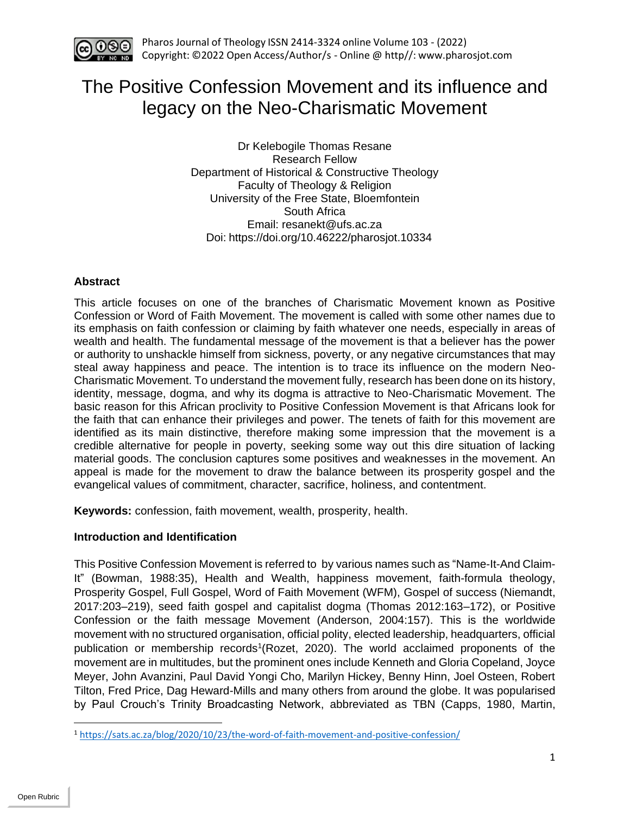

# The Positive Confession Movement and its influence and legacy on the Neo-Charismatic Movement

Dr Kelebogile Thomas Resane Research Fellow Department of Historical & Constructive Theology Faculty of Theology & Religion University of the Free State, Bloemfontein South Africa Email: resanekt@ufs.ac.za Doi: https://doi.org/10.46222/pharosjot.10334

## **Abstract**

This article focuses on one of the branches of Charismatic Movement known as Positive Confession or Word of Faith Movement. The movement is called with some other names due to its emphasis on faith confession or claiming by faith whatever one needs, especially in areas of wealth and health. The fundamental message of the movement is that a believer has the power or authority to unshackle himself from sickness, poverty, or any negative circumstances that may steal away happiness and peace. The intention is to trace its influence on the modern Neo-Charismatic Movement. To understand the movement fully, research has been done on its history, identity, message, dogma, and why its dogma is attractive to Neo-Charismatic Movement. The basic reason for this African proclivity to Positive Confession Movement is that Africans look for the faith that can enhance their privileges and power. The tenets of faith for this movement are identified as its main distinctive, therefore making some impression that the movement is a credible alternative for people in poverty, seeking some way out this dire situation of lacking material goods. The conclusion captures some positives and weaknesses in the movement. An appeal is made for the movement to draw the balance between its prosperity gospel and the evangelical values of commitment, character, sacrifice, holiness, and contentment.

**Keywords:** confession, faith movement, wealth, prosperity, health.

## **Introduction and Identification**

This Positive Confession Movement is referred to by various names such as "Name-It-And Claim-It" (Bowman, 1988:35), Health and Wealth, happiness movement, faith-formula theology, Prosperity Gospel, Full Gospel, Word of Faith Movement (WFM), Gospel of success (Niemandt, 2017:203–219), seed faith gospel and capitalist dogma (Thomas 2012:163–172), or Positive Confession or the faith message Movement (Anderson, 2004:157). This is the worldwide movement with no structured organisation, official polity, elected leadership, headquarters, official publication or membership records<sup>1</sup>(Rozet, 2020). The world acclaimed proponents of the movement are in multitudes, but the prominent ones include Kenneth and Gloria Copeland, Joyce Meyer, John Avanzini, Paul David Yongi Cho, Marilyn Hickey, Benny Hinn, Joel Osteen, Robert Tilton, Fred Price, Dag Heward-Mills and many others from around the globe. It was popularised by Paul Crouch's Trinity Broadcasting Network, abbreviated as TBN (Capps, 1980, Martin,

<sup>1</sup> <https://sats.ac.za/blog/2020/10/23/the-word-of-faith-movement-and-positive-confession/>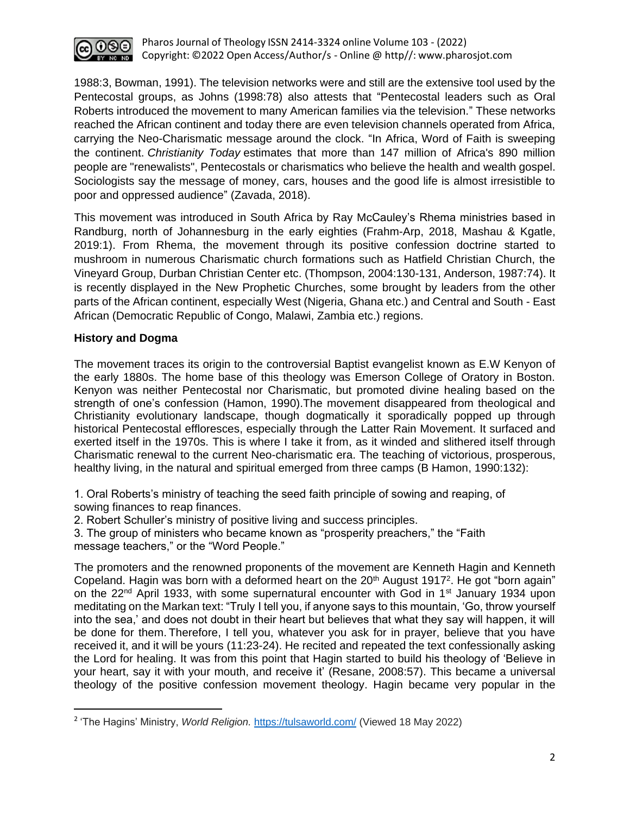

1988:3, Bowman, 1991). The television networks were and still are the extensive tool used by the Pentecostal groups, as Johns (1998:78) also attests that "Pentecostal leaders such as Oral Roberts introduced the movement to many American families via the television." These networks reached the African continent and today there are even television channels operated from Africa, carrying the Neo-Charismatic message around the clock. "In Africa, Word of Faith is sweeping the continent. *Christianity Today* estimates that more than 147 million of Africa's 890 million people are "renewalists", Pentecostals or charismatics who believe the health and wealth gospel. Sociologists say the message of money, cars, houses and the good life is almost irresistible to poor and oppressed audience" (Zavada, 2018).

This movement was introduced in South Africa by Ray McCauley's Rhema ministries based in Randburg, north of Johannesburg in the early eighties (Frahm-Arp, 2018, Mashau & Kgatle, 2019:1). From Rhema, the movement through its positive confession doctrine started to mushroom in numerous Charismatic church formations such as Hatfield Christian Church, the Vineyard Group, Durban Christian Center etc. (Thompson, 2004:130-131, Anderson, 1987:74). It is recently displayed in the New Prophetic Churches, some brought by leaders from the other parts of the African continent, especially West (Nigeria, Ghana etc.) and Central and South - East African (Democratic Republic of Congo, Malawi, Zambia etc.) regions.

## **History and Dogma**

The movement traces its origin to the controversial Baptist evangelist known as E.W Kenyon of the early 1880s. The home base of this theology was Emerson College of Oratory in Boston. Kenyon was neither Pentecostal nor Charismatic, but promoted divine healing based on the strength of one's confession (Hamon, 1990).The movement disappeared from theological and Christianity evolutionary landscape, though dogmatically it sporadically popped up through historical Pentecostal effloresces, especially through the Latter Rain Movement. It surfaced and exerted itself in the 1970s. This is where I take it from, as it winded and slithered itself through Charismatic renewal to the current Neo-charismatic era. The teaching of victorious, prosperous, healthy living, in the natural and spiritual emerged from three camps (B Hamon, 1990:132):

1. Oral Roberts's ministry of teaching the seed faith principle of sowing and reaping, of sowing finances to reap finances.

2. Robert Schuller's ministry of positive living and success principles.

3. The group of ministers who became known as "prosperity preachers," the "Faith message teachers," or the "Word People."

The promoters and the renowned proponents of the movement are Kenneth Hagin and Kenneth Copeland. Hagin was born with a deformed heart on the 20<sup>th</sup> August 1917<sup>2</sup>. He got "born again" on the  $22<sup>nd</sup>$  April 1933, with some supernatural encounter with God in 1<sup>st</sup> January 1934 upon meditating on the Markan text: "Truly I tell you, if anyone says to this mountain, 'Go, throw yourself into the sea,' and does not doubt in their heart but believes that what they say will happen, it will be done for them. Therefore, I tell you, whatever you ask for in prayer, believe that you have received it, and it will be yours (11:23-24). He recited and repeated the text confessionally asking the Lord for healing. It was from this point that Hagin started to build his theology of 'Believe in your heart, say it with your mouth, and receive it' (Resane, 2008:57). This became a universal theology of the positive confession movement theology. Hagin became very popular in the

<sup>2</sup> 'The Hagins' Ministry, *World Religion.* <https://tulsaworld.com/> (Viewed 18 May 2022)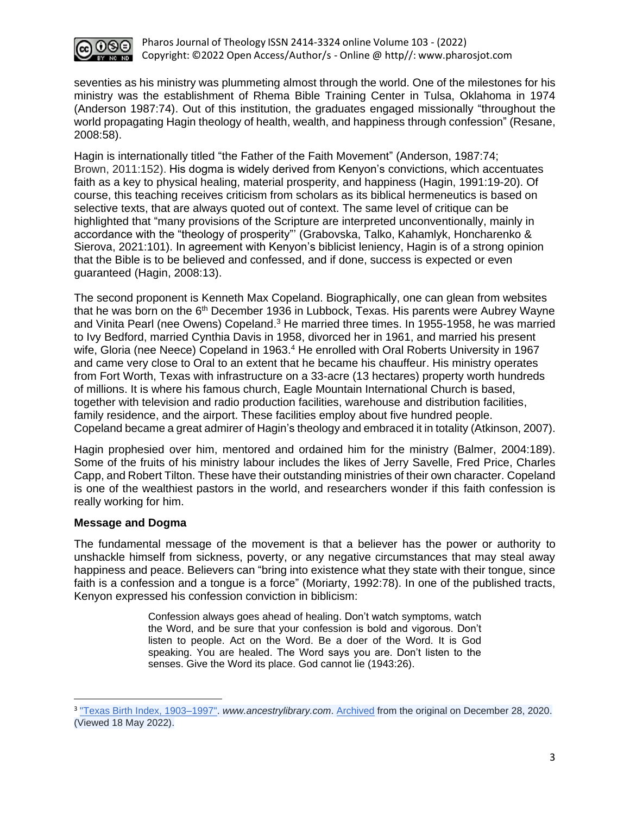

seventies as his ministry was plummeting almost through the world. One of the milestones for his ministry was the establishment of Rhema Bible Training Center in Tulsa, Oklahoma in 1974 (Anderson 1987:74). Out of this institution, the graduates engaged missionally "throughout the world propagating Hagin theology of health, wealth, and happiness through confession" (Resane, 2008:58).

Hagin is internationally titled "the Father of the Faith Movement" (Anderson, 1987:74; Brown, 2011:152). His dogma is widely derived from Kenyon's convictions, which accentuates faith as a key to physical healing, material prosperity, and happiness (Hagin, 1991:19-20). Of course, this teaching receives criticism from scholars as its biblical hermeneutics is based on selective texts, that are always quoted out of context. The same level of critique can be highlighted that "many provisions of the Scripture are interpreted unconventionally, mainly in accordance with the "theology of prosperity"' (Grabovska, Talko, Kahamlyk, Honcharenko & Sierova, 2021:101). In agreement with Kenyon's biblicist leniency, Hagin is of a strong opinion that the Bible is to be believed and confessed, and if done, success is expected or even guaranteed (Hagin, 2008:13).

The second proponent is Kenneth Max Copeland. Biographically, one can glean from websites that he was born on the 6<sup>th</sup> December 1936 in Lubbock, Texas. His parents were Aubrey Wayne and Vinita Pearl (nee Owens) Copeland.<sup>3</sup> He married three times. In 1955-1958, he was married to Ivy Bedford, married Cynthia Davis in 1958, divorced her in 1961, and married his present wife, Gloria (nee Neece) Copeland in 1963.<sup>4</sup> He enrolled with Oral Roberts University in 1967 and came very close to Oral to an extent that he became his chauffeur. His ministry operates from Fort Worth, Texas with infrastructure on a 33-acre (13 hectares) property worth hundreds of millions. It is where his famous church, Eagle Mountain International Church is based, together with television and radio production facilities, warehouse and distribution facilities, family residence, and the airport. These facilities employ about five hundred people. Copeland became a great admirer of Hagin's theology and embraced it in totality (Atkinson, 2007).

Hagin prophesied over him, mentored and ordained him for the ministry (Balmer, 2004:189). Some of the fruits of his ministry labour includes the likes of Jerry Savelle, Fred Price, Charles Capp, and Robert Tilton. These have their outstanding ministries of their own character. Copeland is one of the wealthiest pastors in the world, and researchers wonder if this faith confession is really working for him.

## **Message and Dogma**

The fundamental message of the movement is that a believer has the power or authority to unshackle himself from sickness, poverty, or any negative circumstances that may steal away happiness and peace. Believers can "bring into existence what they state with their tongue, since faith is a confession and a tongue is a force" (Moriarty, 1992:78). In one of the published tracts, Kenyon expressed his confession conviction in biblicism:

> Confession always goes ahead of healing. Don't watch symptoms, watch the Word, and be sure that your confession is bold and vigorous. Don't listen to people. Act on the Word. Be a doer of the Word. It is God speaking. You are healed. The Word says you are. Don't listen to the senses. Give the Word its place. God cannot lie (1943:26).

<sup>3</sup> ["Texas Birth Index, 1903–1997".](https://www.ancestrylibrary.com/interactive/8781/TXBTH_1936_000208e?pid=2675215) *www.ancestrylibrary.com*. [Archived](https://web.archive.org/web/20201228190711/https:/ancestrylibrary.proquest.com/aleweb/ale/do/login) from the original on December 28, 2020. (Viewed 18 May 2022).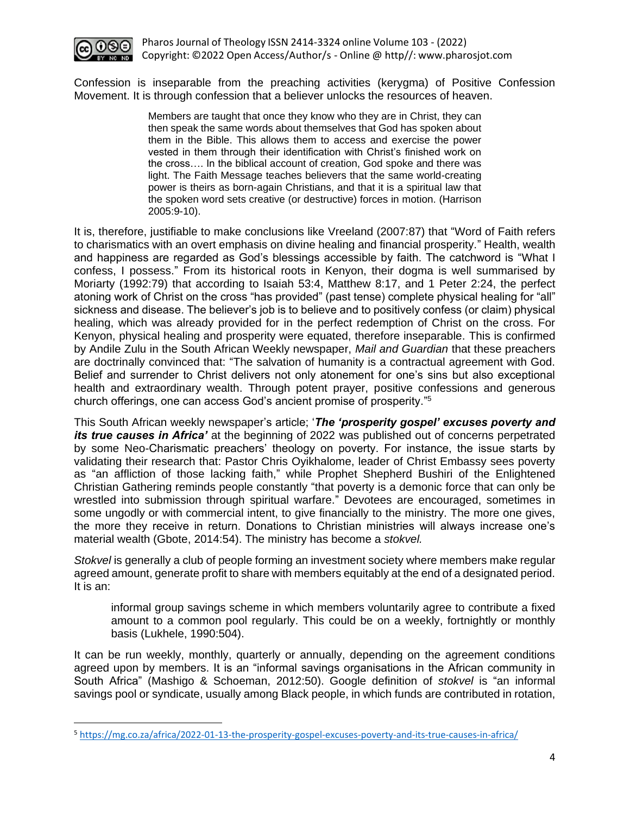

Confession is inseparable from the preaching activities (kerygma) of Positive Confession Movement. It is through confession that a believer unlocks the resources of heaven.

> Members are taught that once they know who they are in Christ, they can then speak the same words about themselves that God has spoken about them in the Bible. This allows them to access and exercise the power vested in them through their identification with Christ's finished work on the cross…. In the biblical account of creation, God spoke and there was light. The Faith Message teaches believers that the same world-creating power is theirs as born-again Christians, and that it is a spiritual law that the spoken word sets creative (or destructive) forces in motion. (Harrison 2005:9-10).

It is, therefore, justifiable to make conclusions like Vreeland (2007:87) that "Word of Faith refers to charismatics with an overt emphasis on divine healing and financial prosperity." Health, wealth and happiness are regarded as God's blessings accessible by faith. The catchword is "What I confess, I possess." From its historical roots in Kenyon, their dogma is well summarised by Moriarty (1992:79) that according to Isaiah 53:4, Matthew 8:17, and 1 Peter 2:24, the perfect atoning work of Christ on the cross "has provided" (past tense) complete physical healing for "all" sickness and disease. The believer's job is to believe and to positively confess (or claim) physical healing, which was already provided for in the perfect redemption of Christ on the cross. For Kenyon, physical healing and prosperity were equated, therefore inseparable. This is confirmed by Andile Zulu in the South African Weekly newspaper, *Mail and Guardian* that these preachers are doctrinally convinced that: "The salvation of humanity is a contractual agreement with God. Belief and surrender to Christ delivers not only atonement for one's sins but also exceptional health and extraordinary wealth. Through potent prayer, positive confessions and generous church offerings, one can access God's ancient promise of prosperity." 5

This South African weekly newspaper's article; '*The 'prosperity gospel' excuses poverty and its true causes in Africa'* at the beginning of 2022 was published out of concerns perpetrated by some Neo-Charismatic preachers' theology on poverty. For instance, the issue starts by validating their research that: Pastor Chris Oyikhalome, leader of Christ Embassy sees poverty as "an affliction of those lacking faith," while Prophet Shepherd Bushiri of the Enlightened Christian Gathering reminds people constantly "that poverty is a demonic force that can only be wrestled into submission through spiritual warfare." Devotees are encouraged, sometimes in some ungodly or with commercial intent, to give financially to the ministry. The more one gives, the more they receive in return. Donations to Christian ministries will always increase one's material wealth (Gbote, 2014:54). The ministry has become a *stokvel.* 

*Stokvel* is generally a club of people forming an investment society where members make regular agreed amount, generate profit to share with members equitably at the end of a designated period. It is an:

informal group savings scheme in which members voluntarily agree to contribute a fixed amount to a common pool regularly. This could be on a weekly, fortnightly or monthly basis (Lukhele, 1990:504).

It can be run weekly, monthly, quarterly or annually, depending on the agreement conditions agreed upon by members. It is an "informal savings organisations in the African community in South Africa" (Mashigo & Schoeman, 2012:50). Google definition of *stokvel* is "an informal savings pool or syndicate, usually among Black people, in which funds are contributed in rotation,

<sup>5</sup> <https://mg.co.za/africa/2022-01-13-the-prosperity-gospel-excuses-poverty-and-its-true-causes-in-africa/>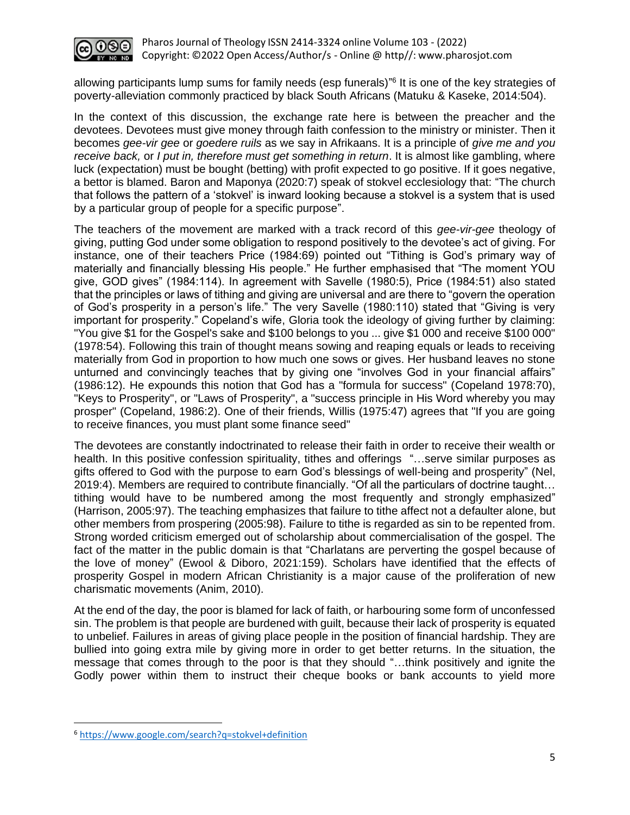

allowing participants lump sums for family needs (esp funerals)" 6 It is one of the key strategies of poverty-alleviation commonly practiced by black South Africans (Matuku & Kaseke, 2014:504).

In the context of this discussion, the exchange rate here is between the preacher and the devotees. Devotees must give money through faith confession to the ministry or minister. Then it becomes *gee-vir gee* or *goedere ruils* as we say in Afrikaans. It is a principle of *give me and you receive back,* or *I put in, therefore must get something in return*. It is almost like gambling, where luck (expectation) must be bought (betting) with profit expected to go positive. If it goes negative, a bettor is blamed. Baron and Maponya (2020:7) speak of stokvel ecclesiology that: "The church that follows the pattern of a 'stokvel' is inward looking because a stokvel is a system that is used by a particular group of people for a specific purpose".

The teachers of the movement are marked with a track record of this *gee-vir-gee* theology of giving, putting God under some obligation to respond positively to the devotee's act of giving. For instance, one of their teachers Price (1984:69) pointed out "Tithing is God's primary way of materially and financially blessing His people." He further emphasised that "The moment YOU give, GOD gives" (1984:114). In agreement with Savelle (1980:5), Price (1984:51) also stated that the principles or laws of tithing and giving are universal and are there to "govern the operation of God's prosperity in a person's life." The very Savelle (1980:110) stated that "Giving is very important for prosperity." Copeland's wife, Gloria took the ideology of giving further by claiming: "You give \$1 for the Gospel's sake and \$100 belongs to you ... give \$1 000 and receive \$100 000" (1978:54). Following this train of thought means sowing and reaping equals or leads to receiving materially from God in proportion to how much one sows or gives. Her husband leaves no stone unturned and convincingly teaches that by giving one "involves God in your financial affairs" (1986:12). He expounds this notion that God has a "formula for success" (Copeland 1978:70), "Keys to Prosperity", or "Laws of Prosperity", a "success principle in His Word whereby you may prosper" (Copeland, 1986:2). One of their friends, Willis (1975:47) agrees that "If you are going to receive finances, you must plant some finance seed"

The devotees are constantly indoctrinated to release their faith in order to receive their wealth or health. In this positive confession spirituality, tithes and offerings "...serve similar purposes as gifts offered to God with the purpose to earn God's blessings of well-being and prosperity" (Nel, 2019:4). Members are required to contribute financially. "Of all the particulars of doctrine taught… tithing would have to be numbered among the most frequently and strongly emphasized" (Harrison, 2005:97). The teaching emphasizes that failure to tithe affect not a defaulter alone, but other members from prospering (2005:98). Failure to tithe is regarded as sin to be repented from. Strong worded criticism emerged out of scholarship about commercialisation of the gospel. The fact of the matter in the public domain is that "Charlatans are perverting the gospel because of the love of money" (Ewool & Diboro, 2021:159). Scholars have identified that the effects of prosperity Gospel in modern African Christianity is a major cause of the proliferation of new charismatic movements (Anim, 2010).

At the end of the day, the poor is blamed for lack of faith, or harbouring some form of unconfessed sin. The problem is that people are burdened with guilt, because their lack of prosperity is equated to unbelief. Failures in areas of giving place people in the position of financial hardship. They are bullied into going extra mile by giving more in order to get better returns. In the situation, the message that comes through to the poor is that they should "…think positively and ignite the Godly power within them to instruct their cheque books or bank accounts to yield more

<sup>6</sup> <https://www.google.com/search?q=stokvel+definition>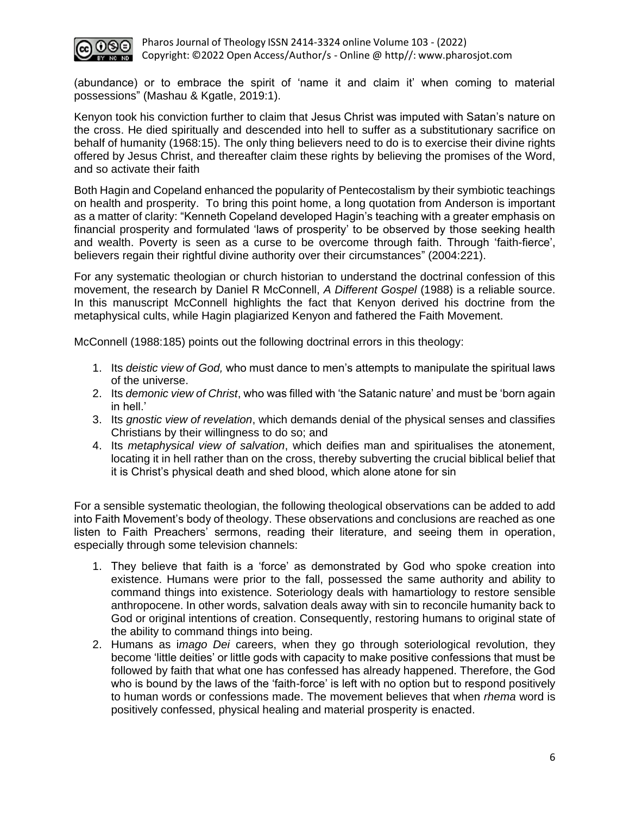

(abundance) or to embrace the spirit of 'name it and claim it' when coming to material possessions" (Mashau & Kgatle, 2019:1).

Kenyon took his conviction further to claim that Jesus Christ was imputed with Satan's nature on the cross. He died spiritually and descended into hell to suffer as a substitutionary sacrifice on behalf of humanity (1968:15). The only thing believers need to do is to exercise their divine rights offered by Jesus Christ, and thereafter claim these rights by believing the promises of the Word, and so activate their faith

Both Hagin and Copeland enhanced the popularity of Pentecostalism by their symbiotic teachings on health and prosperity. To bring this point home, a long quotation from Anderson is important as a matter of clarity: "Kenneth Copeland developed Hagin's teaching with a greater emphasis on financial prosperity and formulated 'laws of prosperity' to be observed by those seeking health and wealth. Poverty is seen as a curse to be overcome through faith. Through 'faith-fierce', believers regain their rightful divine authority over their circumstances" (2004:221).

For any systematic theologian or church historian to understand the doctrinal confession of this movement, the research by Daniel R McConnell, *A Different Gospel* (1988) is a reliable source. In this manuscript McConnell highlights the fact that Kenyon derived his doctrine from the metaphysical cults, while Hagin plagiarized Kenyon and fathered the Faith Movement.

McConnell (1988:185) points out the following doctrinal errors in this theology:

- 1. Its *deistic view of God,* who must dance to men's attempts to manipulate the spiritual laws of the universe.
- 2. Its *demonic view of Christ*, who was filled with 'the Satanic nature' and must be 'born again in hell.'
- 3. Its *gnostic view of revelation*, which demands denial of the physical senses and classifies Christians by their willingness to do so; and
- 4. Its *metaphysical view of salvation*, which deifies man and spiritualises the atonement, locating it in hell rather than on the cross, thereby subverting the crucial biblical belief that it is Christ's physical death and shed blood, which alone atone for sin

For a sensible systematic theologian, the following theological observations can be added to add into Faith Movement's body of theology. These observations and conclusions are reached as one listen to Faith Preachers' sermons, reading their literature, and seeing them in operation, especially through some television channels:

- 1. They believe that faith is a 'force' as demonstrated by God who spoke creation into existence. Humans were prior to the fall, possessed the same authority and ability to command things into existence. Soteriology deals with hamartiology to restore sensible anthropocene. In other words, salvation deals away with sin to reconcile humanity back to God or original intentions of creation. Consequently, restoring humans to original state of the ability to command things into being.
- 2. Humans as i*mago Dei* careers, when they go through soteriological revolution, they become 'little deities' or little gods with capacity to make positive confessions that must be followed by faith that what one has confessed has already happened. Therefore, the God who is bound by the laws of the 'faith-force' is left with no option but to respond positively to human words or confessions made. The movement believes that when *rhema* word is positively confessed, physical healing and material prosperity is enacted.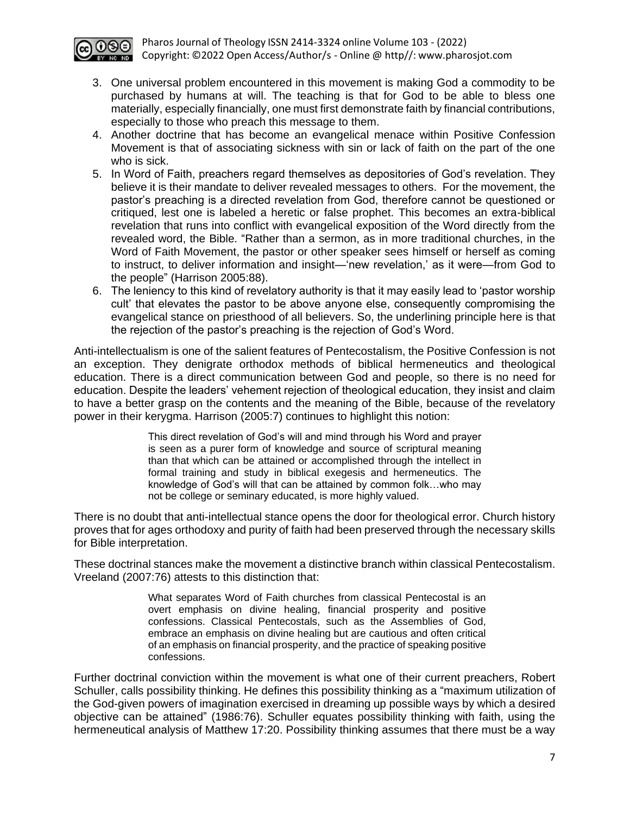

- 3. One universal problem encountered in this movement is making God a commodity to be purchased by humans at will. The teaching is that for God to be able to bless one materially, especially financially, one must first demonstrate faith by financial contributions, especially to those who preach this message to them.
- 4. Another doctrine that has become an evangelical menace within Positive Confession Movement is that of associating sickness with sin or lack of faith on the part of the one who is sick.
- 5. In Word of Faith, preachers regard themselves as depositories of God's revelation. They believe it is their mandate to deliver revealed messages to others. For the movement, the pastor's preaching is a directed revelation from God, therefore cannot be questioned or critiqued, lest one is labeled a heretic or false prophet. This becomes an extra-biblical revelation that runs into conflict with evangelical exposition of the Word directly from the revealed word, the Bible. "Rather than a sermon, as in more traditional churches, in the Word of Faith Movement, the pastor or other speaker sees himself or herself as coming to instruct, to deliver information and insight—'new revelation,' as it were—from God to the people" (Harrison 2005:88).
- 6. The leniency to this kind of revelatory authority is that it may easily lead to 'pastor worship cult' that elevates the pastor to be above anyone else, consequently compromising the evangelical stance on priesthood of all believers. So, the underlining principle here is that the rejection of the pastor's preaching is the rejection of God's Word.

Anti-intellectualism is one of the salient features of Pentecostalism, the Positive Confession is not an exception. They denigrate orthodox methods of biblical hermeneutics and theological education. There is a direct communication between God and people, so there is no need for education. Despite the leaders' vehement rejection of theological education, they insist and claim to have a better grasp on the contents and the meaning of the Bible, because of the revelatory power in their kerygma. Harrison (2005:7) continues to highlight this notion:

> This direct revelation of God's will and mind through his Word and prayer is seen as a purer form of knowledge and source of scriptural meaning than that which can be attained or accomplished through the intellect in formal training and study in biblical exegesis and hermeneutics. The knowledge of God's will that can be attained by common folk…who may not be college or seminary educated, is more highly valued.

There is no doubt that anti-intellectual stance opens the door for theological error. Church history proves that for ages orthodoxy and purity of faith had been preserved through the necessary skills for Bible interpretation.

These doctrinal stances make the movement a distinctive branch within classical Pentecostalism. Vreeland (2007:76) attests to this distinction that:

> What separates Word of Faith churches from classical Pentecostal is an overt emphasis on divine healing, financial prosperity and positive confessions. Classical Pentecostals, such as the Assemblies of God, embrace an emphasis on divine healing but are cautious and often critical of an emphasis on financial prosperity, and the practice of speaking positive confessions.

Further doctrinal conviction within the movement is what one of their current preachers, Robert Schuller, calls possibility thinking. He defines this possibility thinking as a "maximum utilization of the God-given powers of imagination exercised in dreaming up possible ways by which a desired objective can be attained" (1986:76). Schuller equates possibility thinking with faith, using the hermeneutical analysis of Matthew 17:20. Possibility thinking assumes that there must be a way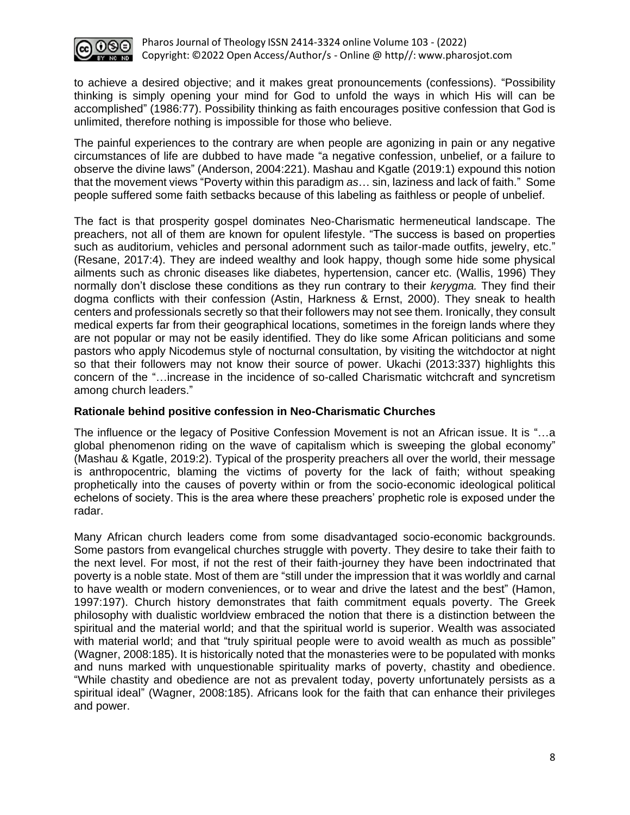

to achieve a desired objective; and it makes great pronouncements (confessions). "Possibility thinking is simply opening your mind for God to unfold the ways in which His will can be accomplished" (1986:77). Possibility thinking as faith encourages positive confession that God is unlimited, therefore nothing is impossible for those who believe.

The painful experiences to the contrary are when people are agonizing in pain or any negative circumstances of life are dubbed to have made "a negative confession, unbelief, or a failure to observe the divine laws" (Anderson, 2004:221). Mashau and Kgatle (2019:1) expound this notion that the movement views "Poverty within this paradigm *as*… sin, laziness and lack of faith." Some people suffered some faith setbacks because of this labeling as faithless or people of unbelief.

The fact is that prosperity gospel dominates Neo-Charismatic hermeneutical landscape. The preachers, not all of them are known for opulent lifestyle. "The success is based on properties such as auditorium, vehicles and personal adornment such as tailor-made outfits, jewelry, etc." (Resane, 2017:4). They are indeed wealthy and look happy, though some hide some physical ailments such as chronic diseases like diabetes, hypertension, cancer etc. (Wallis, 1996) They normally don't disclose these conditions as they run contrary to their *kerygma.* They find their dogma conflicts with their confession (Astin, Harkness & Ernst, 2000). They sneak to health centers and professionals secretly so that their followers may not see them. Ironically, they consult medical experts far from their geographical locations, sometimes in the foreign lands where they are not popular or may not be easily identified. They do like some African politicians and some pastors who apply Nicodemus style of nocturnal consultation, by visiting the witchdoctor at night so that their followers may not know their source of power. Ukachi (2013:337) highlights this concern of the "…increase in the incidence of so-called Charismatic witchcraft and syncretism among church leaders."

#### **Rationale behind positive confession in Neo-Charismatic Churches**

The influence or the legacy of Positive Confession Movement is not an African issue. It is "…a global phenomenon riding on the wave of capitalism which is sweeping the global economy" (Mashau & Kgatle, 2019:2). Typical of the prosperity preachers all over the world, their message is anthropocentric, blaming the victims of poverty for the lack of faith; without speaking prophetically into the causes of poverty within or from the socio-economic ideological political echelons of society. This is the area where these preachers' prophetic role is exposed under the radar.

Many African church leaders come from some disadvantaged socio-economic backgrounds. Some pastors from evangelical churches struggle with poverty. They desire to take their faith to the next level. For most, if not the rest of their faith-journey they have been indoctrinated that poverty is a noble state. Most of them are "still under the impression that it was worldly and carnal to have wealth or modern conveniences, or to wear and drive the latest and the best" (Hamon, 1997:197). Church history demonstrates that faith commitment equals poverty. The Greek philosophy with dualistic worldview embraced the notion that there is a distinction between the spiritual and the material world; and that the spiritual world is superior. Wealth was associated with material world; and that "truly spiritual people were to avoid wealth as much as possible" (Wagner, 2008:185). It is historically noted that the monasteries were to be populated with monks and nuns marked with unquestionable spirituality marks of poverty, chastity and obedience. "While chastity and obedience are not as prevalent today, poverty unfortunately persists as a spiritual ideal" (Wagner, 2008:185). Africans look for the faith that can enhance their privileges and power.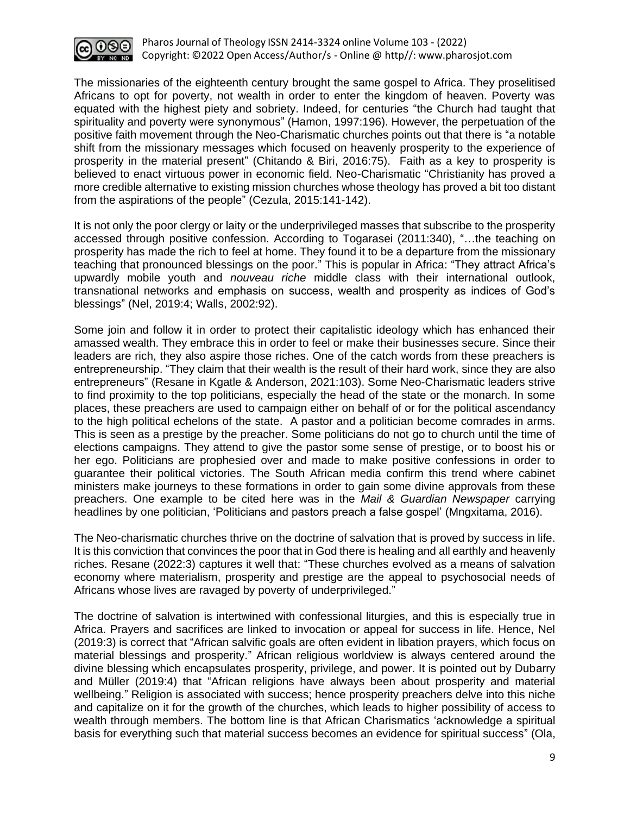

The missionaries of the eighteenth century brought the same gospel to Africa. They proselitised Africans to opt for poverty, not wealth in order to enter the kingdom of heaven. Poverty was equated with the highest piety and sobriety. Indeed, for centuries "the Church had taught that spirituality and poverty were synonymous" (Hamon, 1997:196). However, the perpetuation of the positive faith movement through the Neo-Charismatic churches points out that there is "a notable shift from the missionary messages which focused on heavenly prosperity to the experience of prosperity in the material present" (Chitando & Biri, 2016:75). Faith as a key to prosperity is believed to enact virtuous power in economic field. Neo-Charismatic "Christianity has proved a more credible alternative to existing mission churches whose theology has proved a bit too distant from the aspirations of the people" (Cezula, 2015:141-142).

It is not only the poor clergy or laity or the underprivileged masses that subscribe to the prosperity accessed through positive confession. According to Togarasei (2011:340), "…the teaching on prosperity has made the rich to feel at home. They found it to be a departure from the missionary teaching that pronounced blessings on the poor." This is popular in Africa: "They attract Africa's upwardly mobile youth and *nouveau riche* middle class with their international outlook, transnational networks and emphasis on success, wealth and prosperity as indices of God's blessings" (Nel, 2019:4; Walls, 2002:92).

Some join and follow it in order to protect their capitalistic ideology which has enhanced their amassed wealth. They embrace this in order to feel or make their businesses secure. Since their leaders are rich, they also aspire those riches. One of the catch words from these preachers is entrepreneurship. "They claim that their wealth is the result of their hard work, since they are also entrepreneurs" (Resane in Kgatle & Anderson, 2021:103). Some Neo-Charismatic leaders strive to find proximity to the top politicians, especially the head of the state or the monarch. In some places, these preachers are used to campaign either on behalf of or for the political ascendancy to the high political echelons of the state. A pastor and a politician become comrades in arms. This is seen as a prestige by the preacher. Some politicians do not go to church until the time of elections campaigns. They attend to give the pastor some sense of prestige, or to boost his or her ego. Politicians are prophesied over and made to make positive confessions in order to guarantee their political victories. The South African media confirm this trend where cabinet ministers make journeys to these formations in order to gain some divine approvals from these preachers. One example to be cited here was in the *Mail & Guardian Newspaper* carrying headlines by one politician, 'Politicians and pastors preach a false gospel' (Mngxitama, 2016).

The Neo-charismatic churches thrive on the doctrine of salvation that is proved by success in life. It is this conviction that convinces the poor that in God there is healing and all earthly and heavenly riches. Resane (2022:3) captures it well that: "These churches evolved as a means of salvation economy where materialism, prosperity and prestige are the appeal to psychosocial needs of Africans whose lives are ravaged by poverty of underprivileged."

The doctrine of salvation is intertwined with confessional liturgies, and this is especially true in Africa. Prayers and sacrifices are linked to invocation or appeal for success in life. Hence, Nel (2019:3) is correct that "African salvific goals are often evident in libation prayers, which focus on material blessings and prosperity." African religious worldview is always centered around the divine blessing which encapsulates prosperity, privilege, and power. It is pointed out by Dubarry and Müller (2019:4) that "African religions have always been about prosperity and material wellbeing." Religion is associated with success; hence prosperity preachers delve into this niche and capitalize on it for the growth of the churches, which leads to higher possibility of access to wealth through members. The bottom line is that African Charismatics 'acknowledge a spiritual basis for everything such that material success becomes an evidence for spiritual success" (Ola,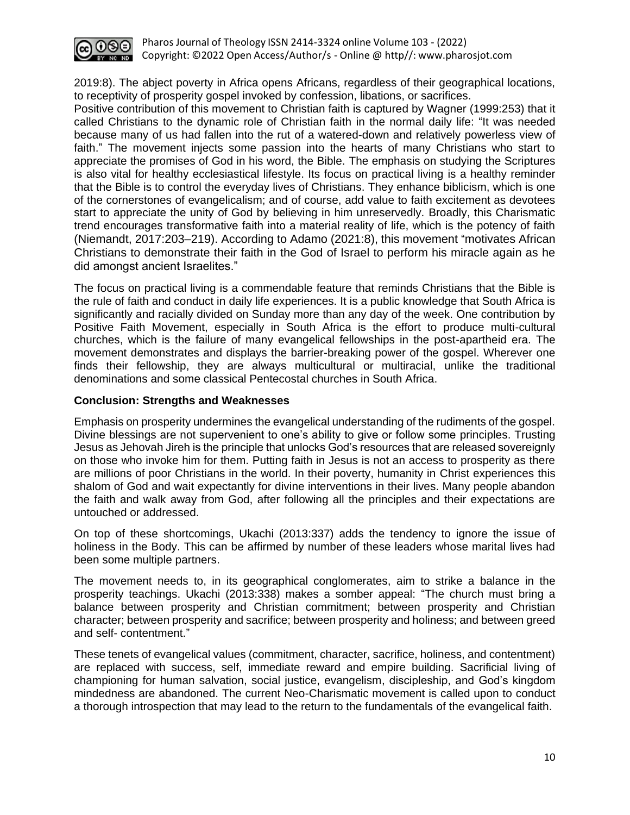

Pharos Journal of Theology ISSN 2414-3324 online Volume 103 - (2022) Copyright: ©2022 Open Access/Author/s - Online @ http//: [www.pharosjot.com](http://www.pharosjot.com/)

2019:8). The abject poverty in Africa opens Africans, regardless of their geographical locations, to receptivity of prosperity gospel invoked by confession, libations, or sacrifices.

Positive contribution of this movement to Christian faith is captured by Wagner (1999:253) that it called Christians to the dynamic role of Christian faith in the normal daily life: "It was needed because many of us had fallen into the rut of a watered-down and relatively powerless view of faith." The movement injects some passion into the hearts of many Christians who start to appreciate the promises of God in his word, the Bible. The emphasis on studying the Scriptures is also vital for healthy ecclesiastical lifestyle. Its focus on practical living is a healthy reminder that the Bible is to control the everyday lives of Christians. They enhance biblicism, which is one of the cornerstones of evangelicalism; and of course, add value to faith excitement as devotees start to appreciate the unity of God by believing in him unreservedly. Broadly, this Charismatic trend encourages transformative faith into a material reality of life, which is the potency of faith (Niemandt, 2017:203–219). According to Adamo (2021:8), this movement "motivates African Christians to demonstrate their faith in the God of Israel to perform his miracle again as he did amongst ancient Israelites."

The focus on practical living is a commendable feature that reminds Christians that the Bible is the rule of faith and conduct in daily life experiences. It is a public knowledge that South Africa is significantly and racially divided on Sunday more than any day of the week. One contribution by Positive Faith Movement, especially in South Africa is the effort to produce multi-cultural churches, which is the failure of many evangelical fellowships in the post-apartheid era. The movement demonstrates and displays the barrier-breaking power of the gospel. Wherever one finds their fellowship, they are always multicultural or multiracial, unlike the traditional denominations and some classical Pentecostal churches in South Africa.

#### **Conclusion: Strengths and Weaknesses**

Emphasis on prosperity undermines the evangelical understanding of the rudiments of the gospel. Divine blessings are not supervenient to one's ability to give or follow some principles. Trusting Jesus as Jehovah Jireh is the principle that unlocks God's resources that are released sovereignly on those who invoke him for them. Putting faith in Jesus is not an access to prosperity as there are millions of poor Christians in the world. In their poverty, humanity in Christ experiences this shalom of God and wait expectantly for divine interventions in their lives. Many people abandon the faith and walk away from God, after following all the principles and their expectations are untouched or addressed.

On top of these shortcomings, Ukachi (2013:337) adds the tendency to ignore the issue of holiness in the Body. This can be affirmed by number of these leaders whose marital lives had been some multiple partners.

The movement needs to, in its geographical conglomerates, aim to strike a balance in the prosperity teachings. Ukachi (2013:338) makes a somber appeal: "The church must bring a balance between prosperity and Christian commitment; between prosperity and Christian character; between prosperity and sacrifice; between prosperity and holiness; and between greed and self- contentment."

These tenets of evangelical values (commitment, character, sacrifice, holiness, and contentment) are replaced with success, self, immediate reward and empire building. Sacrificial living of championing for human salvation, social justice, evangelism, discipleship, and God's kingdom mindedness are abandoned. The current Neo-Charismatic movement is called upon to conduct a thorough introspection that may lead to the return to the fundamentals of the evangelical faith.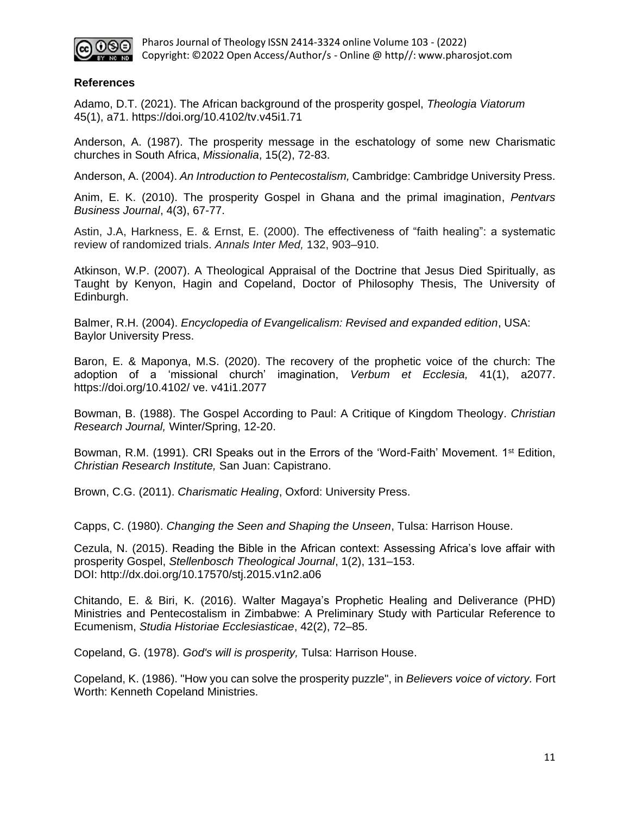

#### **References**

Adamo, D.T. (2021). The African background of the prosperity gospel, *Theologia Viatorum* 45(1), a71. https://doi.org/10.4102/tv.v45i1.71

Anderson, A. (1987). The prosperity message in the eschatology of some new Charismatic churches in South Africa, *Missionalia*, 15(2), 72-83.

Anderson, A. (2004). *An Introduction to Pentecostalism,* Cambridge: Cambridge University Press.

Anim, E. K. (2010). The prosperity Gospel in Ghana and the primal imagination, *Pentvars Business Journal*, 4(3), 67-77.

Astin, J.A, Harkness, E. & Ernst, E. (2000). The effectiveness of "faith healing": a systematic review of randomized trials. *Annals Inter Med,* 132, 903–910.

Atkinson, W.P. (2007). A Theological Appraisal of the Doctrine that Jesus Died Spiritually, as Taught by Kenyon, Hagin and Copeland, Doctor of Philosophy Thesis, The University of Edinburgh.

Balmer, R.H. (2004). *Encyclopedia of Evangelicalism: Revised and expanded edition*, USA: Baylor University Press.

Baron, E. & Maponya, M.S. (2020). The recovery of the prophetic voice of the church: The adoption of a 'missional church' imagination, *Verbum et Ecclesia,* 41(1), a2077. https://doi.org/10.4102/ ve. v41i1.2077

Bowman, B. (1988). The Gospel According to Paul: A Critique of Kingdom Theology. *Christian Research Journal,* Winter/Spring, 12-20.

Bowman, R.M. (1991). CRI Speaks out in the Errors of the 'Word-Faith' Movement. 1<sup>st</sup> Edition, *Christian Research Institute,* San Juan: Capistrano.

Brown, C.G. (2011). *Charismatic Healing*, Oxford: University Press.

Capps, C. (1980). *Changing the Seen and Shaping the Unseen*, Tulsa: Harrison House.

Cezula, N. (2015). Reading the Bible in the African context: Assessing Africa's love affair with prosperity Gospel, *Stellenbosch Theological Journal*, 1(2), 131–153. DOI:<http://dx.doi.org/10.17570/stj.2015.v1n2.a06>

Chitando, E. & Biri, K. (2016). Walter Magaya's Prophetic Healing and Deliverance (PHD) Ministries and Pentecostalism in Zimbabwe: A Preliminary Study with Particular Reference to Ecumenism, *Studia Historiae Ecclesiasticae*, 42(2), 72–85.

Copeland, G. (1978). *God's will is prosperity,* Tulsa: Harrison House.

Copeland, K. (1986). "How you can solve the prosperity puzzle", in *Believers voice of victory.* Fort Worth: Kenneth Copeland Ministries.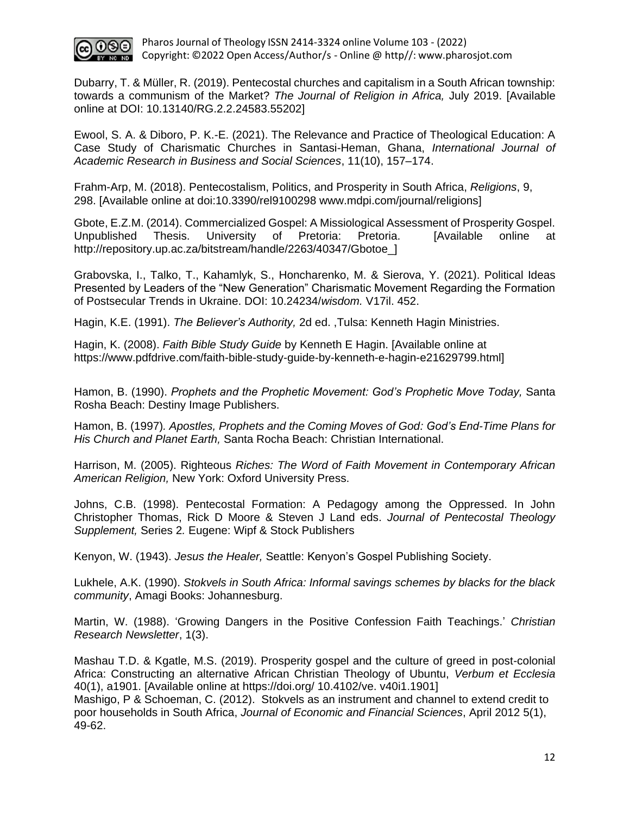

Dubarry, T. & Müller, R. (2019). Pentecostal churches and capitalism in a South African township: towards a communism of the Market? *The Journal of Religion in Africa,* July 2019. [Available online at DOI: 10.13140/RG.2.2.24583.55202]

Ewool, S. A. & Diboro, P. K.-E. (2021). The Relevance and Practice of Theological Education: A Case Study of Charismatic Churches in Santasi-Heman, Ghana, *International Journal of Academic Research in Business and Social Sciences*, 11(10), 157–174.

Frahm-Arp, M. (2018). Pentecostalism, Politics, and Prosperity in South Africa, *Religions*, 9, 298. [Available online at doi:10.3390/rel9100298 [www.mdpi.com/journal/religions\]](http://www.mdpi.com/journal/religions)

Gbote, E.Z.M. (2014). Commercialized Gospel: A Missiological Assessment of Prosperity Gospel. Unpublished Thesis. University of Pretoria: Pretoria. [Available online at [http://repository.up.ac.za/bitstream/handle/2263/40347/Gbotoe\\_\]](http://repository.up.ac.za/bitstream/handle/2263/40347/Gbotoe_)

Grabovska, I., Talko, T., Kahamlyk, S., Honcharenko, M. & Sierova, Y. (2021). Political Ideas Presented by Leaders of the "New Generation" Charismatic Movement Regarding the Formation of Postsecular Trends in Ukraine. DOI: 10.24234/*wisdom.* V17il. 452.

Hagin, K.E. (1991). *The Believer's Authority,* 2d ed. ,Tulsa: Kenneth Hagin Ministries.

Hagin, K. (2008). *Faith Bible Study Guide* by Kenneth E Hagin. [Available online at [https://www.pdfdrive.com/faith-bible-study-guide-by-kenneth-e-hagin-e21629799.html\]](https://www.pdfdrive.com/faith-bible-study-guide-by-kenneth-e-hagin-e21629799.html)

Hamon, B. (1990). *Prophets and the Prophetic Movement: God's Prophetic Move Today,* Santa Rosha Beach: Destiny Image Publishers.

Hamon, B. (1997)*. Apostles, Prophets and the Coming Moves of God: God's End-Time Plans for His Church and Planet Earth,* Santa Rocha Beach: Christian International.

Harrison, M. (2005). Righteous *Riches: The Word of Faith Movement in Contemporary African American Religion,* New York: Oxford University Press.

Johns, C.B. (1998). Pentecostal Formation: A Pedagogy among the Oppressed. In John Christopher Thomas, Rick D Moore & Steven J Land eds. *Journal of Pentecostal Theology Supplement,* Series 2*.* Eugene: Wipf & Stock Publishers

Kenyon, W. (1943). *Jesus the Healer,* Seattle: Kenyon's Gospel Publishing Society.

Lukhele, A.K. (1990). *Stokvels in South Africa: Informal savings schemes by blacks for the black community*, Amagi Books: Johannesburg.

Martin, W. (1988). 'Growing Dangers in the Positive Confession Faith Teachings.' *Christian Research Newsletter*, 1(3).

Mashau T.D. & Kgatle, M.S. (2019). Prosperity gospel and the culture of greed in post-colonial Africa: Constructing an alternative African Christian Theology of Ubuntu, *Verbum et Ecclesia*  40(1), a1901. [Available online at https://doi.org/ 10.4102/ve. v40i1.1901]

Mashigo, P & Schoeman, C. (2012). Stokvels as an instrument and channel to extend credit to poor households in South Africa, *Journal of Economic and Financial Sciences*, April 2012 5(1), 49-62.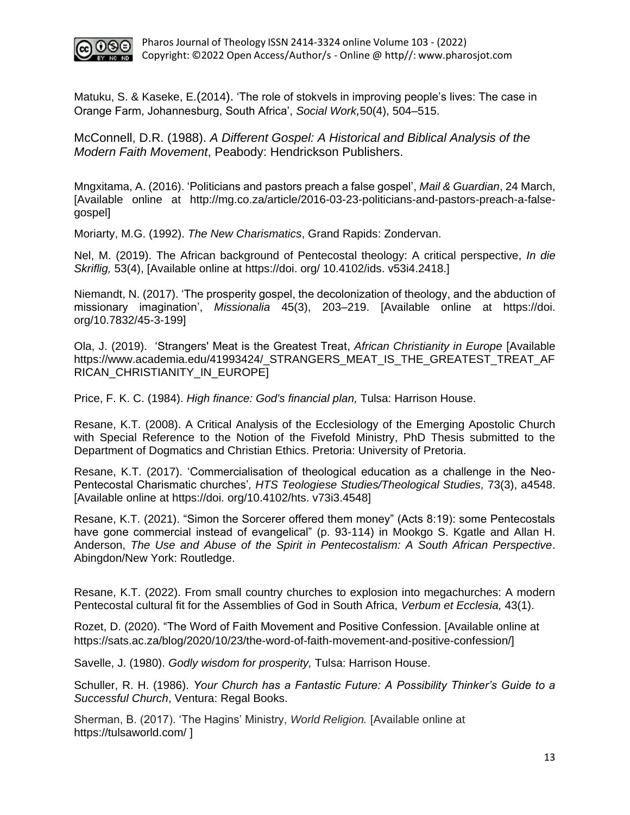

Matuku, S. & Kaseke, E.(2014). 'The role of stokvels in improving people's lives: The case in Orange Farm, Johannesburg, South Africa', *Social Work,*50(4), 504–515.

McConnell, D.R. (1988). *A Different Gospel: A Historical and Biblical Analysis of the Modern Faith Movement*, Peabody: Hendrickson Publishers.

Mngxitama, A. (2016). 'Politicians and pastors preach a false gospel', *Mail & Guardian*, 24 March, [Available online at [http://mg.co.za/article/2016-03-23-politicians-and-pastors-preach-a-false](http://mg.co.za/article/2016-03-23-politicians-and-pastors-preach-a-false-gospel)[gospel\]](http://mg.co.za/article/2016-03-23-politicians-and-pastors-preach-a-false-gospel)

Moriarty, M.G. (1992). *The New Charismatics*, Grand Rapids: Zondervan.

Nel, M. (2019). The African background of Pentecostal theology: A critical perspective, *In die Skriflig,* 53(4), [Available online at https://doi. org/ 10.4102/ids. v53i4.2418.]

Niemandt, N. (2017). 'The prosperity gospel, the decolonization of theology, and the abduction of missionary imagination', *Missionalia* 45(3), 203–219. [Available online at https://doi. org/10.7832/45-3-199]

Ola, J. (2019). 'Strangers' Meat is the Greatest Treat, *African Christianity in Europe* [Available [https://www.academia.edu/41993424/\\_STRANGERS\\_MEAT\\_IS\\_THE\\_GREATEST\\_TREAT\\_AF](https://www.academia.edu/41993424/_STRANGERS_MEAT_IS_THE_GREATEST_TREAT_AFRICAN_CHRISTIANITY_IN_EUROPE) [RICAN\\_CHRISTIANITY\\_IN\\_EUROPE\]](https://www.academia.edu/41993424/_STRANGERS_MEAT_IS_THE_GREATEST_TREAT_AFRICAN_CHRISTIANITY_IN_EUROPE)

Price, F. K. C. (1984). *High finance: God's financial plan,* Tulsa: Harrison House.

Resane, K.T. (2008). A Critical Analysis of the Ecclesiology of the Emerging Apostolic Church with Special Reference to the Notion of the Fivefold Ministry, PhD Thesis submitted to the Department of Dogmatics and Christian Ethics. Pretoria: University of Pretoria.

Resane, K.T. (2017). 'Commercialisation of theological education as a challenge in the Neo-Pentecostal Charismatic churches'*, HTS Teologiese Studies/Theological Studies,* 73(3), a4548. [Available online at https://doi. org/10.4102/hts. v73i3.4548]

Resane, K.T. (2021). "Simon the Sorcerer offered them money" (Acts 8:19): some Pentecostals have gone commercial instead of evangelical" (p. 93-114) in Mookgo S. Kgatle and Allan H. Anderson, *The Use and Abuse of the Spirit in Pentecostalism: A South African Perspective*. Abingdon/New York: Routledge.

Resane, K.T. (2022). From small country churches to explosion into megachurches: A modern Pentecostal cultural fit for the Assemblies of God in South Africa, *Verbum et Ecclesia,* 43(1).

Rozet, D. (2020). "The Word of Faith Movement and Positive Confession. [Available online at [https://sats.ac.za/blog/2020/10/23/the-word-of-faith-movement-and-positive-confession/\]](https://sats.ac.za/blog/2020/10/23/the-word-of-faith-movement-and-positive-confession/)

Savelle, J. (1980). *Godly wisdom for prosperity,* Tulsa: Harrison House.

Schuller, R. H. (1986). *Your Church has a Fantastic Future: A Possibility Thinker's Guide to a Successful Church*, Ventura: Regal Books.

Sherman, B. (2017). 'The Hagins' Ministry, *World Religion.* [Available online at <https://tulsaworld.com/> ]